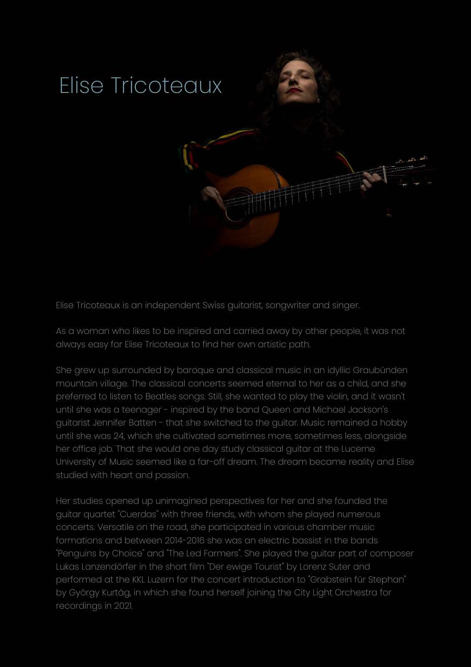

Elise Tricoteaux is an independent Swiss guitarist, songwriter and singer.

As a woman who likes to be inspired and carried away by other people, it was not always easy for Elise Tricoteaux to find her own artistic path.

She grew up surrounded by baroque and classical music in an idyllic Graubünden mountain village. The classical concerts seemed eternal to her as a child, and she preferred to listen to Beatles songs. Still, she wanted to play the violin, and it wasn't until she was a teenager - inspired by the band Queen and Michael Jackson's guitarist Jennifer Batten - that she switched to the guitar. Music remained a hobby until she was 24, which she cultivated sometimes more, sometimes less, alongside her office job. That she would one day study classical guitar at the Lucerne University of Music seemed like a far-off dream. The dream became reality and Elise studied with heart and passion.

Her studies opened up unimagined perspectives for her and she founded the guitar quartet "Cuerdas" with three friends, with whom she played numerous concerts. Versatile on the road, she participated in various chamber music formations and between 2014-2016 she was an electric bassist in the bands "Penguins by Choice" and "The Led Farmers". She played the guitar part of composer Lukas Lanzendörfer in the short film "Der ewige Tourist" by Lorenz Suter and performed at the KKL Luzern for the concert introduction to "Grabstein für Stephan" by György Kurtág, in which she found herself joining the City Light Orchestra for recordings in 2021.